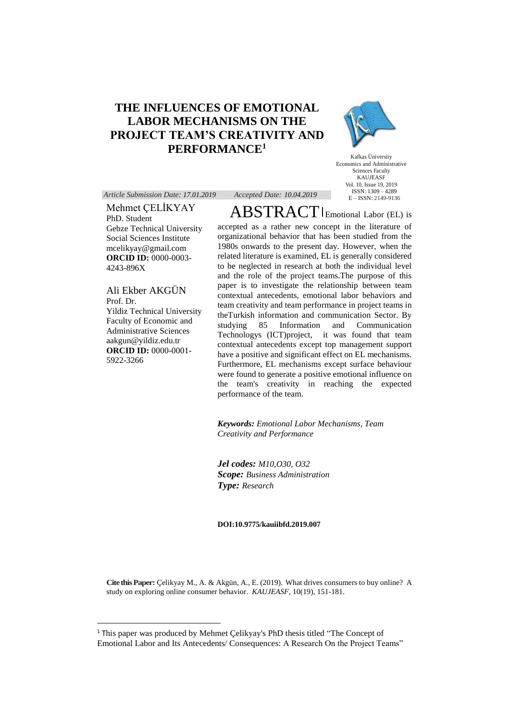# **THE INFLUENCES OF EMOTIONAL LABOR MECHANISMS ON THE PROJECT TEAM'S CREATIVITY AND PERFORMANCE<sup>1</sup>**



Kafkas Üniversity Economics and Administrative Sciences Faculty KAUJEASF Vol. 10, Issue 19, 2019 ISSN: 1309 – 4289 E – ISSN: 2149-9136

*Article Submission Date: 17.01.2019 Accepted Date: 10.04.2019*

Mehmet ÇELİKYAY PhD. Student Gebze Technical University Social Sciences Institute mcelikyay@gmail.com **ORCID ID:** 0000-0003- 4243-896X

Ali Ekber AKGÜN Prof. Dr. Yildiz Technical University Faculty of Economic and Administrative Sciences aakgun@yildiz.edu.tr **ORCID ID:** 0000-0001- 5922-3266

 $\overline{a}$ 

 $\mathrm{ABSTRACT}\xspace$  Lemotional Labor (EL) is accepted as a rather new concept in the literature of organizational behavior that has been studied from the 1980s onwards to the present day. However, when the related literature is examined, EL is generally considered to be neglected in research at both the individual level and the role of the project teams.The purpose of this paper is to investigate the relationship between team contextual antecedents, emotional labor behaviors and team creativity and team performance in project teams in theTurkish information and communication Sector. By studying 85 Information and Communication Technologys (ICT)project, it was found that team contextual antecedents except top management support have a positive and significant effect on EL mechanisms. Furthermore, EL mechanisms except surface behaviour were found to generate a positive emotional influence on the team's creativity in reaching the expected performance of the team.

*Keywords: Emotional Labor Mechanisms, Team Creativity and Performance*

*Jel codes: M10,O30, O32 Scope: Business Administration Type: Research*

#### **DOI:10.9775/kauiibfd.2019.007**

**Cite this Paper:** Çelikyay M., A. & Akgün, A., E. (2019). What drives consumers to buy online? A study on exploring online consumer behavior. *KAUJEASF,* 10(19), 151-181.

<sup>1</sup> This paper was produced by Mehmet Çelikyay's PhD thesis titled "The Concept of Emotional Labor and Its Antecedents/ Consequences: A Research On the Project Teams"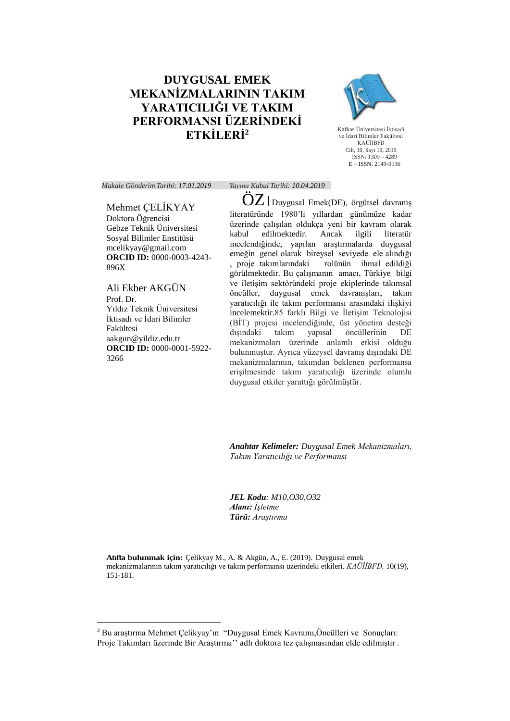# **DUYGUSAL EMEK MEKANİZMALARININ TAKIM YARATICILIĞI VE TAKIM PERFORMANSI ÜZERİNDEKİ ETKİLERİ<sup>2</sup>**



Kafkas Üniversitesi İktisadi ve İdari Bilimler Fakültesi KAÜİİBFD Cilt, 10, Sayı 19, 2019 ISSN: 1309 – 4289 E – ISSN: 2149-9136

*Makale Gönderim Tarihi: 17.01.2019 Yayına Kabul Tarihi: 10.04.2019*

## Mehmet ÇELİKYAY Doktora Öğrencisi

Gebze Teknik Üniversitesi Sosyal Bilimler Enstitüsü mcelikyay@gmail.com **ORCID ID:** 0000-0003-4243- 896X

Ali Ekber AKGÜN Prof. Dr. Yıldız Teknik Üniversitesi İktisadi ve İdari Bilimler Fakültesi aakgun@yildiz.edu.tr **ORCID ID:** 0000-0001-5922- 3266

 $\overline{a}$ 

OZ | Duygusal Emek(DE), örgütsel davranış literatüründe 1980'li yıllardan günümüze kadar üzerinde çalışılan oldukça yeni bir kavram olarak kabul edilmektedir. Ancak ilgili literatür incelendiğinde, yapılan araştırmalarda duygusal emeğin genel olarak bireysel seviyede ele alındığı , proje takımlarındaki rolünün ihmal edildiği görülmektedir. Bu çalışmanın amacı, Türkiye bilgi ve iletişim sektöründeki proje ekiplerinde takımsal öncüller, duygusal emek davranışları, takım yaratıcılığı ile takım performansı arasındaki ilişkiyi incelemektir.85 farklı Bilgi ve İletişim Teknolojisi (BİT) projesi incelendiğinde, üst yönetim desteği öncüllerinin mekanizmaları üzerinde anlamlı etkisi olduğu bulunmuştur. Ayrıca yüzeysel davranış dışındaki DE mekanizmalarının, takımdan beklenen performansa erişilmesinde takım yaratıcılığı üzerinde olumlu duygusal etkiler yarattığı görülmüştür.

*Anahtar Kelimeler: Duygusal Emek Mekanizmaları, Takım Yaratıcılığı ve Performansı*

*JEL Kodu: M10,O30,O32 Alanı: İşletme Türü: Araştırma*

**Atıfta bulunmak için:** Çelikyay M., A. & Akgün, A., E. (2019). Duygusal emek mekanizmalarının takım yaratıcılığı ve takım performansı üzerindeki etkileri. *KAÜİİBFD,* 10(19), 151-181.

<sup>2</sup> Bu araştırma Mehmet Çelikyay'ın "Duygusal Emek Kavramı,Öncülleri ve Sonuçları: Proje Takımları üzerinde Bir Araştırma'' adlı doktora tez çalışmasından elde edilmiştir .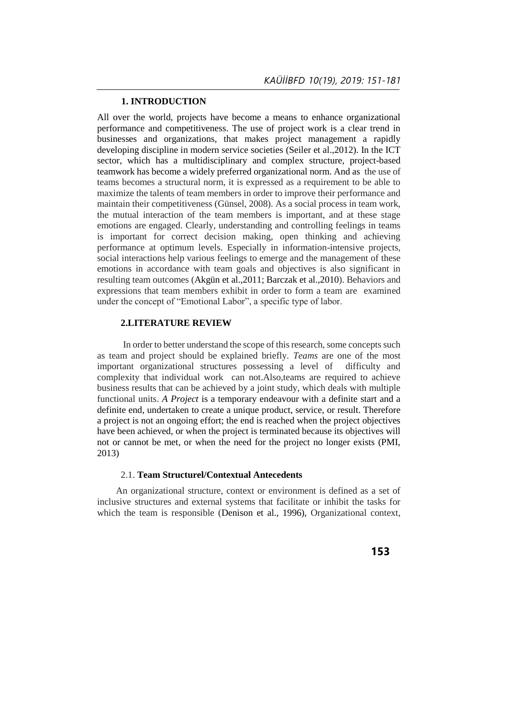## **1. INTRODUCTION**

All over the world, projects have become a means to enhance organizational performance and competitiveness. The use of project work is a clear trend in businesses and organizations, that makes project management a rapidly developing discipline in modern service societies (Seiler et al.,2012). In the ICT sector, which has a multidisciplinary and complex structure, project-based teamwork has become a widely preferred organizational norm. And as the use of teams becomes a structural norm, it is expressed as a requirement to be able to maximize the talents of team members in order to improve their performance and maintain their competitiveness (Günsel, 2008). As a social process in team work, the mutual interaction of the team members is important, and at these stage emotions are engaged. Clearly, understanding and controlling feelings in teams is important for correct decision making, open thinking and achieving performance at optimum levels. Especially in information-intensive projects, social interactions help various feelings to emerge and the management of these emotions in accordance with team goals and objectives is also significant in resulting team outcomes (Akgün et al.,2011; Barczak et al.,2010). Behaviors and expressions that team members exhibit in order to form a team are examined under the concept of "Emotional Labor", a specific type of labor.

## **2.LITERATURE REVIEW**

 In order to better understand the scope of this research, some concepts such as team and project should be explained briefly. *Teams* are one of the most important organizational structures possessing a level of difficulty and complexity that individual work can not.Also,teams are required to achieve business results that can be achieved by a joint study, which deals with multiple functional units. *A Project* is a temporary endeavour with a definite start and a definite end, undertaken to create a unique product, service, or result. Therefore a project is not an ongoing effort; the end is reached when the project objectives have been achieved, or when the project is terminated because its objectives will not or cannot be met, or when the need for the project no longer exists (PMI, 2013)

## 2.1. **Team Structurel/Contextual Antecedents**

 An organizational structure, context or environment is defined as a set of inclusive structures and external systems that facilitate or inhibit the tasks for which the team is responsible (Denison et al., 1996), Organizational context,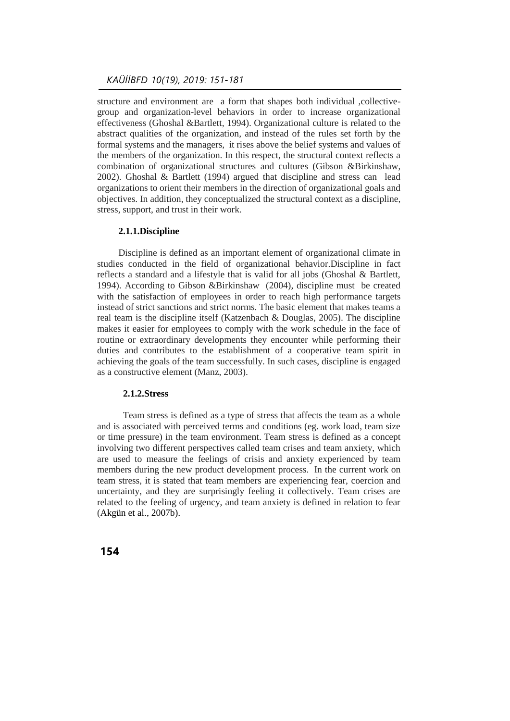structure and environment are a form that shapes both individual ,collectivegroup and organization-level behaviors in order to increase organizational effectiveness (Ghoshal &Bartlett, 1994). Organizational culture is related to the abstract qualities of the organization, and instead of the rules set forth by the formal systems and the managers, it rises above the belief systems and values of the members of the organization. In this respect, the structural context reflects a combination of organizational structures and cultures (Gibson &Birkinshaw, 2002). Ghoshal & Bartlett (1994) argued that discipline and stress can lead organizations to orient their members in the direction of organizational goals and objectives. In addition, they conceptualized the structural context as a discipline, stress, support, and trust in their work.

## **2.1.1.Discipline**

Discipline is defined as an important element of organizational climate in studies conducted in the field of organizational behavior.Discipline in fact reflects a standard and a lifestyle that is valid for all jobs (Ghoshal & Bartlett, 1994). According to Gibson &Birkinshaw (2004), discipline must be created with the satisfaction of employees in order to reach high performance targets instead of strict sanctions and strict norms. The basic element that makes teams a real team is the discipline itself (Katzenbach & Douglas, 2005). The discipline makes it easier for employees to comply with the work schedule in the face of routine or extraordinary developments they encounter while performing their duties and contributes to the establishment of a cooperative team spirit in achieving the goals of the team successfully. In such cases, discipline is engaged as a constructive element (Manz, 2003).

## **2.1.2.Stress**

 Team stress is defined as a type of stress that affects the team as a whole and is associated with perceived terms and conditions (eg. work load, team size or time pressure) in the team environment. Team stress is defined as a concept involving two different perspectives called team crises and team anxiety, which are used to measure the feelings of crisis and anxiety experienced by team members during the new product development process. In the current work on team stress, it is stated that team members are experiencing fear, coercion and uncertainty, and they are surprisingly feeling it collectively. Team crises are related to the feeling of urgency, and team anxiety is defined in relation to fear (Akgün et al., 2007b).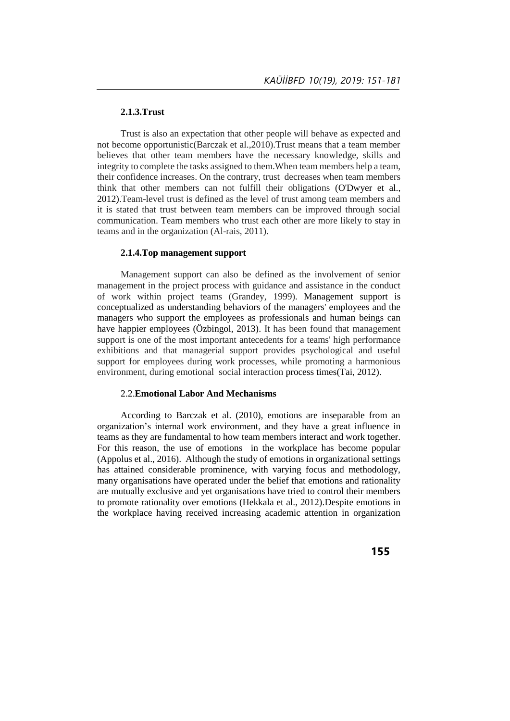#### **2.1.3.Trust**

Trust is also an expectation that other people will behave as expected and not become opportunistic(Barczak et al.,2010).Trust means that a team member believes that other team members have the necessary knowledge, skills and integrity to complete the tasks assigned to them.When team members help a team, their confidence increases. On the contrary, trust decreases when team members think that other members can not fulfill their obligations (O'Dwyer et al., 2012).Team-level trust is defined as the level of trust among team members and it is stated that trust between team members can be improved through social communication. Team members who trust each other are more likely to stay in teams and in the organization (Al-rais, 2011).

#### **2.1.4.Top management support**

Management support can also be defined as the involvement of senior management in the project process with guidance and assistance in the conduct of work within project teams (Grandey, 1999). Management support is conceptualized as understanding behaviors of the managers' employees and the managers who support the employees as professionals and human beings can have happier employees (Özbingol, 2013). It has been found that management support is one of the most important antecedents for a teams' high performance exhibitions and that managerial support provides psychological and useful support for employees during work processes, while promoting a harmonious environment, during emotional social interaction process times(Tai, 2012).

#### 2.2.**Emotional Labor And Mechanisms**

 According to Barczak et al. (2010), emotions are inseparable from an organization's internal work environment, and they have a great influence in teams as they are fundamental to how team members interact and work together. For this reason, the use of emotions in the workplace has become popular (Appolus et al., 2016). Although the study of emotions in organizational settings has attained considerable prominence, with varying focus and methodology, many organisations have operated under the belief that emotions and rationality are mutually exclusive and yet organisations have tried to control their members to promote rationality over emotions (Hekkala et al., 2012).Despite emotions in the workplace having received increasing academic attention in organization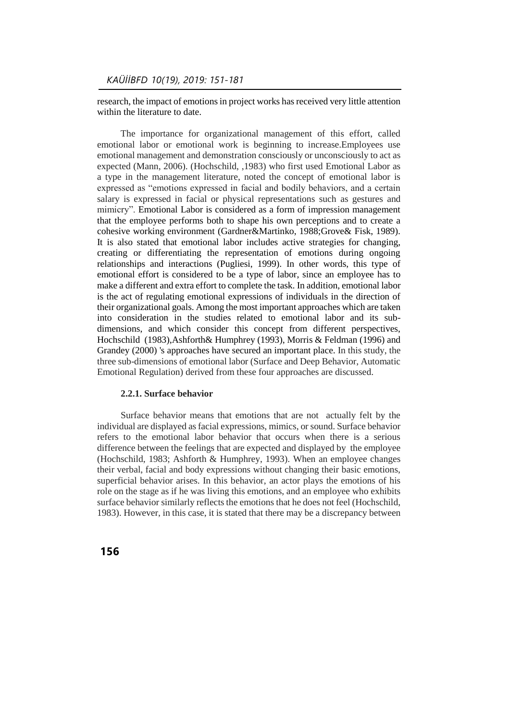research, the impact of emotions in project works has received very little attention within the literature to date.

 The importance for organizational management of this effort, called emotional labor or emotional work is beginning to increase.Employees use emotional management and demonstration consciously or unconsciously to act as expected (Mann, 2006). (Hochschild, ,1983) who first used Emotional Labor as a type in the management literature, noted the concept of emotional labor is expressed as "emotions expressed in facial and bodily behaviors, and a certain salary is expressed in facial or physical representations such as gestures and mimicry". Emotional Labor is considered as a form of impression management that the employee performs both to shape his own perceptions and to create a cohesive working environment (Gardner&Martinko, 1988;Grove& Fisk, 1989). It is also stated that emotional labor includes active strategies for changing, creating or differentiating the representation of emotions during ongoing relationships and interactions (Pugliesi, 1999). In other words, this type of emotional effort is considered to be a type of labor, since an employee has to make a different and extra effort to complete the task. In addition, emotional labor is the act of regulating emotional expressions of individuals in the direction of their organizational goals. Among the most important approaches which are taken into consideration in the studies related to emotional labor and its subdimensions, and which consider this concept from different perspectives, Hochschild (1983),Ashforth& Humphrey (1993), Morris & Feldman (1996) and Grandey (2000) 's approaches have secured an important place. In this study, the three sub-dimensions of emotional labor (Surface and Deep Behavior, Automatic Emotional Regulation) derived from these four approaches are discussed.

#### **2.2.1. Surface behavior**

 Surface behavior means that emotions that are not actually felt by the individual are displayed as facial expressions, mimics, or sound. Surface behavior refers to the emotional labor behavior that occurs when there is a serious difference between the feelings that are expected and displayed by the employee (Hochschild, 1983; Ashforth & Humphrey, 1993). When an employee changes their verbal, facial and body expressions without changing their basic emotions, superficial behavior arises. In this behavior, an actor plays the emotions of his role on the stage as if he was living this emotions, and an employee who exhibits surface behavior similarly reflects the emotions that he does not feel (Hochschild, 1983). However, in this case, it is stated that there may be a discrepancy between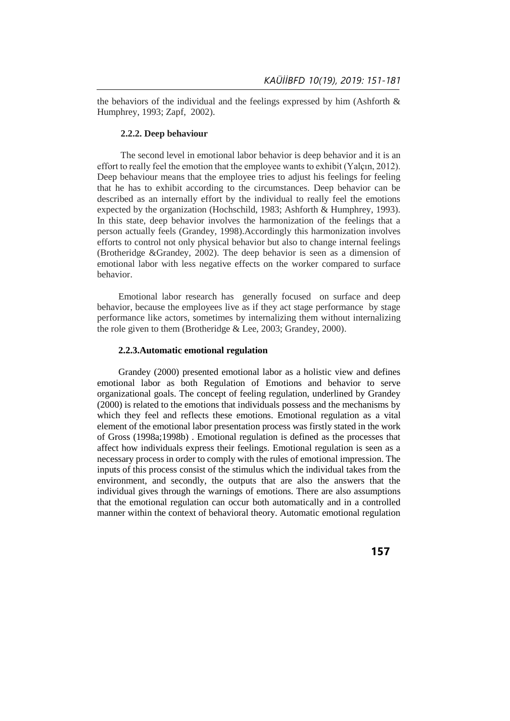the behaviors of the individual and the feelings expressed by him (Ashforth  $\&$ Humphrey, 1993; Zapf, 2002).

#### **2.2.2. Deep behaviour**

The second level in emotional labor behavior is deep behavior and it is an effort to really feel the emotion that the employee wants to exhibit (Yalçın, 2012). Deep behaviour means that the employee tries to adjust his feelings for feeling that he has to exhibit according to the circumstances. Deep behavior can be described as an internally effort by the individual to really feel the emotions expected by the organization (Hochschild, 1983; Ashforth & Humphrey, 1993). In this state, deep behavior involves the harmonization of the feelings that a person actually feels (Grandey, 1998).Accordingly this harmonization involves efforts to control not only physical behavior but also to change internal feelings (Brotheridge &Grandey, 2002). The deep behavior is seen as a dimension of emotional labor with less negative effects on the worker compared to surface behavior.

 Emotional labor research has generally focused on surface and deep behavior, because the employees live as if they act stage performance by stage performance like actors, sometimes by internalizing them without internalizing the role given to them (Brotheridge & Lee, 2003; Grandey, 2000).

#### **2.2.3.Automatic emotional regulation**

 Grandey (2000) presented emotional labor as a holistic view and defines emotional labor as both Regulation of Emotions and behavior to serve organizational goals. The concept of feeling regulation, underlined by Grandey (2000) is related to the emotions that individuals possess and the mechanisms by which they feel and reflects these emotions. Emotional regulation as a vital element of the emotional labor presentation process was firstly stated in the work of Gross (1998a;1998b) . Emotional regulation is defined as the processes that affect how individuals express their feelings. Emotional regulation is seen as a necessary process in order to comply with the rules of emotional impression. The inputs of this process consist of the stimulus which the individual takes from the environment, and secondly, the outputs that are also the answers that the individual gives through the warnings of emotions. There are also assumptions that the emotional regulation can occur both automatically and in a controlled manner within the context of behavioral theory. Automatic emotional regulation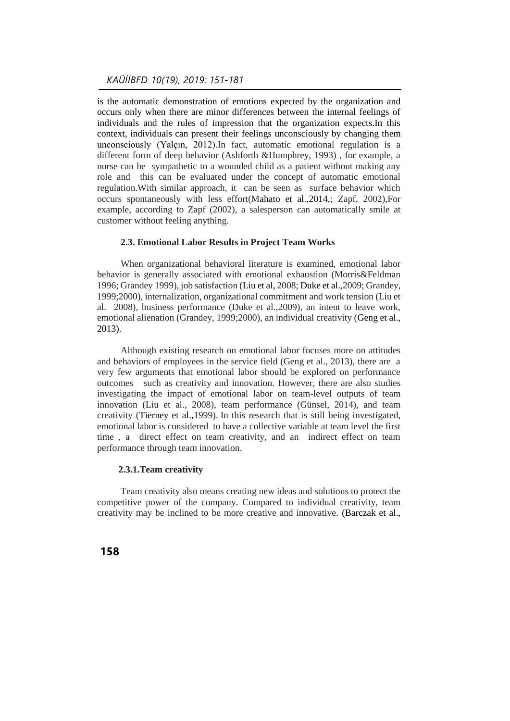is the automatic demonstration of emotions expected by the organization and occurs only when there are minor differences between the internal feelings of individuals and the rules of impression that the organization expects.In this context, individuals can present their feelings unconsciously by changing them unconsciously (Yalçın, 2012).In fact, automatic emotional regulation is a different form of deep behavior (Ashforth &Humphrey, 1993) , for example, a nurse can be sympathetic to a wounded child as a patient without making any role and this can be evaluated under the concept of automatic emotional regulation.With similar approach, it can be seen as surface behavior which occurs spontaneously with less effort(Mahato et al.,2014,; Zapf, 2002),For example, according to Zapf (2002), a salesperson can automatically smile at customer without feeling anything.

#### **2.3. Emotional Labor Results in Project Team Works**

 When organizational behavioral literature is examined, emotional labor behavior is generally associated with emotional exhaustion (Morris&Feldman 1996; Grandey 1999), job satisfaction (Liu et al, 2008; Duke et al.,2009; Grandey, 1999;2000), internalization, organizational commitment and work tension (Liu et al. 2008), business performance (Duke et al.,2009), an intent to leave work, emotional alienation (Grandey, 1999;2000), an individual creativity (Geng et al., 2013).

 Although existing research on emotional labor focuses more on attitudes and behaviors of employees in the service field (Geng et al., 2013), there are a very few arguments that emotional labor should be explored on performance outcomes such as creativity and innovation. However, there are also studies investigating the impact of emotional labor on team-level outputs of team innovation (Liu et al., 2008), team performance (Günsel, 2014), and team creativity (Tierney et al.,1999). In this research that is still being investigated, emotional labor is considered to have a collective variable at team level the first time , a direct effect on team creativity, and an indirect effect on team performance through team innovation.

#### **2.3.1.Team creativity**

 Team creativity also means creating new ideas and solutions to protect the competitive power of the company. Compared to individual creativity, team creativity may be inclined to be more creative and innovative. (Barczak et al.,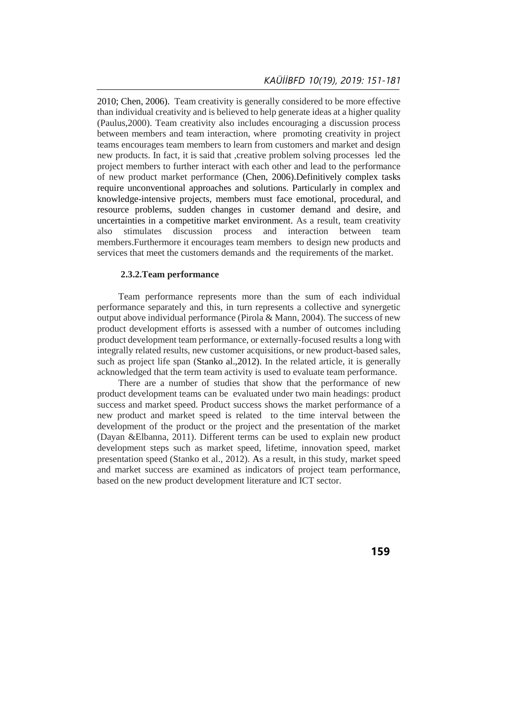2010; Chen, 2006). Team creativity is generally considered to be more effective than individual creativity and is believed to help generate ideas at a higher quality (Paulus,2000). Team creativity also includes encouraging a discussion process between members and team interaction, where promoting creativity in project teams encourages team members to learn from customers and market and design new products. In fact, it is said that ,creative problem solving processes led the project members to further interact with each other and lead to the performance of new product market performance (Chen, 2006).Definitively complex tasks require unconventional approaches and solutions. Particularly in complex and knowledge-intensive projects, members must face emotional, procedural, and resource problems, sudden changes in customer demand and desire, and uncertainties in a competitive market environment. As a result, team creativity also stimulates discussion process and interaction between team also stimulates discussion process and interaction between team members.Furthermore it encourages team members to design new products and services that meet the customers demands and the requirements of the market.

#### **2.3.2.Team performance**

 Team performance represents more than the sum of each individual performance separately and this, in turn represents a collective and synergetic output above individual performance (Pirola & Mann, 2004). The success of new product development efforts is assessed with a number of outcomes including product development team performance, or externally-focused results a long with integrally related results, new customer acquisitions, or new product-based sales, such as project life span (Stanko al.,2012). In the related article, it is generally acknowledged that the term team activity is used to evaluate team performance.

 There are a number of studies that show that the performance of new product development teams can be evaluated under two main headings: product success and market speed. Product success shows the market performance of a new product and market speed is related to the time interval between the development of the product or the project and the presentation of the market (Dayan &Elbanna, 2011). Different terms can be used to explain new product development steps such as market speed, lifetime, innovation speed, market presentation speed (Stanko et al., 2012). As a result, in this study, market speed and market success are examined as indicators of project team performance, based on the new product development literature and ICT sector.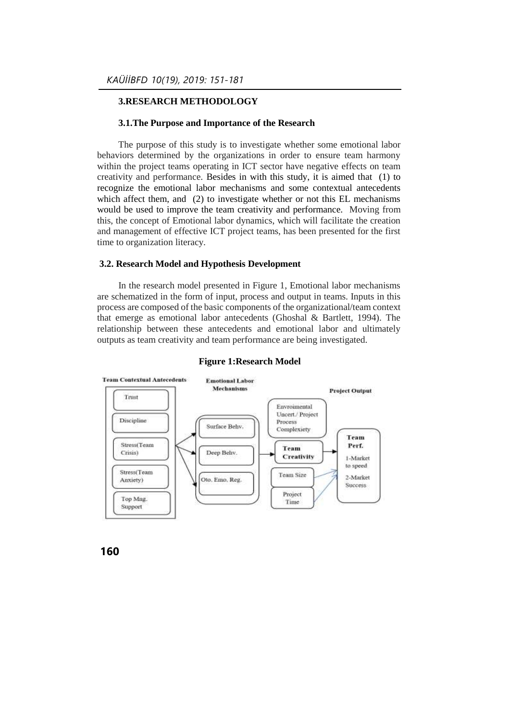## **3.RESEARCH METHODOLOGY**

#### **3.1.The Purpose and Importance of the Research**

 The purpose of this study is to investigate whether some emotional labor behaviors determined by the organizations in order to ensure team harmony within the project teams operating in ICT sector have negative effects on team creativity and performance. Besides in with this study, it is aimed that (1) to recognize the emotional labor mechanisms and some contextual antecedents which affect them, and (2) to investigate whether or not this EL mechanisms would be used to improve the team creativity and performance. Moving from this, the concept of Emotional labor dynamics, which will facilitate the creation and management of effective ICT project teams, has been presented for the first time to organization literacy.

#### **3.2. Research Model and Hypothesis Development**

 In the research model presented in Figure 1, Emotional labor mechanisms are schematized in the form of input, process and output in teams. Inputs in this process are composed of the basic components of the organizational/team context that emerge as emotional labor antecedents (Ghoshal & Bartlett, 1994). The relationship between these antecedents and emotional labor and ultimately outputs as team creativity and team performance are being investigated.



#### **Figure 1:Research Model**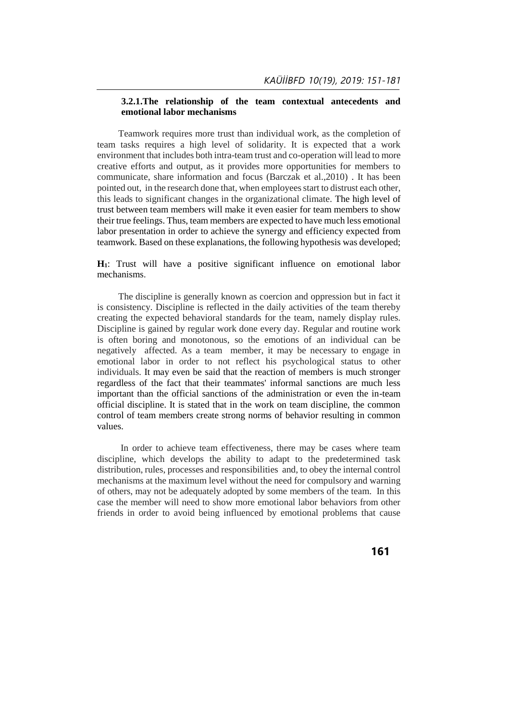## **3.2.1.The relationship of the team contextual antecedents and emotional labor mechanisms**

 Teamwork requires more trust than individual work, as the completion of team tasks requires a high level of solidarity. It is expected that a work environment that includes both intra-team trust and co-operation will lead to more creative efforts and output, as it provides more opportunities for members to communicate, share information and focus (Barczak et al.,2010) . It has been pointed out, in the research done that, when employees start to distrust each other, this leads to significant changes in the organizational climate. The high level of trust between team members will make it even easier for team members to show their true feelings. Thus, team members are expected to have much less emotional labor presentation in order to achieve the synergy and efficiency expected from teamwork. Based on these explanations, the following hypothesis was developed;

**H1**: Trust will have a positive significant influence on emotional labor mechanisms.

The discipline is generally known as coercion and oppression but in fact it is consistency. Discipline is reflected in the daily activities of the team thereby creating the expected behavioral standards for the team, namely display rules. Discipline is gained by regular work done every day. Regular and routine work is often boring and monotonous, so the emotions of an individual can be negatively affected. As a team member, it may be necessary to engage in emotional labor in order to not reflect his psychological status to other individuals. It may even be said that the reaction of members is much stronger regardless of the fact that their teammates' informal sanctions are much less important than the official sanctions of the administration or even the in-team official discipline. It is stated that in the work on team discipline, the common control of team members create strong norms of behavior resulting in common values.

 In order to achieve team effectiveness, there may be cases where team discipline, which develops the ability to adapt to the predetermined task distribution, rules, processes and responsibilities and, to obey the internal control mechanisms at the maximum level without the need for compulsory and warning of others, may not be adequately adopted by some members of the team. In this case the member will need to show more emotional labor behaviors from other friends in order to avoid being influenced by emotional problems that cause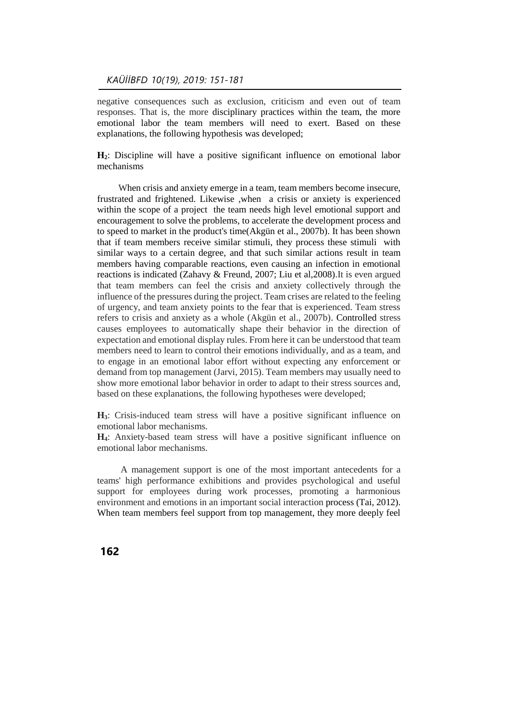negative consequences such as exclusion, criticism and even out of team responses. That is, the more disciplinary practices within the team, the more emotional labor the team members will need to exert. Based on these explanations, the following hypothesis was developed;

**H2**: Discipline will have a positive significant influence on emotional labor mechanisms

When crisis and anxiety emerge in a team, team members become insecure, frustrated and frightened. Likewise ,when a crisis or anxiety is experienced within the scope of a project the team needs high level emotional support and encouragement to solve the problems, to accelerate the development process and to speed to market in the product's time(Akgün et al., 2007b). It has been shown that if team members receive similar stimuli, they process these stimuli with similar ways to a certain degree, and that such similar actions result in team members having comparable reactions, even causing an infection in emotional reactions is indicated (Zahavy & Freund, 2007; Liu et al,2008).It is even argued that team members can feel the crisis and anxiety collectively through the influence of the pressures during the project. Team crises are related to the feeling of urgency, and team anxiety points to the fear that is experienced. Team stress refers to crisis and anxiety as a whole (Akgün et al., 2007b). Controlled stress causes employees to automatically shape their behavior in the direction of expectation and emotional display rules. From here it can be understood that team members need to learn to control their emotions individually, and as a team, and to engage in an emotional labor effort without expecting any enforcement or demand from top management (Jarvi, 2015). Team members may usually need to show more emotional labor behavior in order to adapt to their stress sources and, based on these explanations, the following hypotheses were developed;

**H3**: Crisis-induced team stress will have a positive significant influence on emotional labor mechanisms.

**H4**: Anxiety-based team stress will have a positive significant influence on emotional labor mechanisms.

A management support is one of the most important antecedents for a teams' high performance exhibitions and provides psychological and useful support for employees during work processes, promoting a harmonious environment and emotions in an important social interaction process (Tai, 2012). When team members feel support from top management, they more deeply feel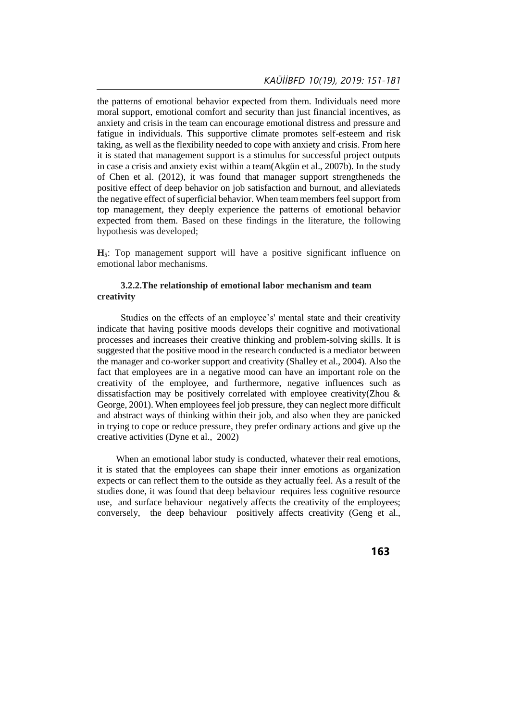the patterns of emotional behavior expected from them. Individuals need more moral support, emotional comfort and security than just financial incentives, as anxiety and crisis in the team can encourage emotional distress and pressure and fatigue in individuals. This supportive climate promotes self-esteem and risk taking, as well as the flexibility needed to cope with anxiety and crisis. From here it is stated that management support is a stimulus for successful project outputs in case a crisis and anxiety exist within a team(Akgün et al., 2007b). In the study of Chen et al. (2012), it was found that manager support strengtheneds the positive effect of deep behavior on job satisfaction and burnout, and alleviateds the negative effect of superficial behavior. When team members feel support from top management, they deeply experience the patterns of emotional behavior expected from them. Based on these findings in the literature, the following hypothesis was developed;

**H5**: Top management support will have a positive significant influence on emotional labor mechanisms.

## **3.2.2.The relationship of emotional labor mechanism and team creativity**

 Studies on the effects of an employee's' mental state and their creativity indicate that having positive moods develops their cognitive and motivational processes and increases their creative thinking and problem-solving skills. It is suggested that the positive mood in the research conducted is a mediator between the manager and co-worker support and creativity (Shalley et al., 2004). Also the fact that employees are in a negative mood can have an important role on the creativity of the employee, and furthermore, negative influences such as dissatisfaction may be positively correlated with employee creativity(Zhou & George, 2001). When employees feel job pressure, they can neglect more difficult and abstract ways of thinking within their job, and also when they are panicked in trying to cope or reduce pressure, they prefer ordinary actions and give up the creative activities (Dyne et al., 2002)

When an emotional labor study is conducted, whatever their real emotions, it is stated that the employees can shape their inner emotions as organization expects or can reflect them to the outside as they actually feel. As a result of the studies done, it was found that deep behaviour requires less cognitive resource use, and surface behaviour negatively affects the creativity of the employees; conversely, the deep behaviour positively affects creativity (Geng et al.,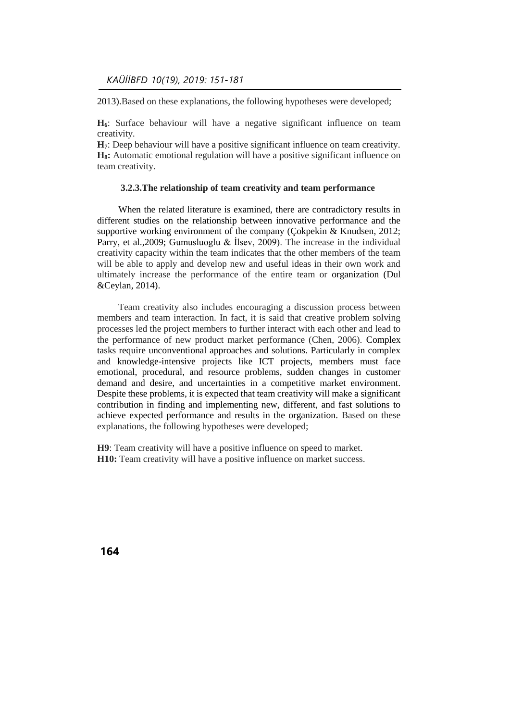2013).Based on these explanations, the following hypotheses were developed;

**H6**: Surface behaviour will have a negative significant influence on team creativity.

**H7**: Deep behaviour will have a positive significant influence on team creativity. **H8:** Automatic emotional regulation will have a positive significant influence on team creativity.

## **3.2.3.The relationship of team creativity and team performance**

 When the related literature is examined, there are contradictory results in different studies on the relationship between innovative performance and the supportive working environment of the company (Cokpekin & Knudsen, 2012; Parry, et al., 2009; Gumusluoglu & Ilsev, 2009). The increase in the individual creativity capacity within the team indicates that the other members of the team will be able to apply and develop new and useful ideas in their own work and ultimately increase the performance of the entire team or organization (Dul &Ceylan, 2014).

 Team creativity also includes encouraging a discussion process between members and team interaction. In fact, it is said that creative problem solving processes led the project members to further interact with each other and lead to the performance of new product market performance (Chen, 2006). Complex tasks require unconventional approaches and solutions. Particularly in complex and knowledge-intensive projects like ICT projects, members must face emotional, procedural, and resource problems, sudden changes in customer demand and desire, and uncertainties in a competitive market environment. Despite these problems, it is expected that team creativity will make a significant contribution in finding and implementing new, different, and fast solutions to achieve expected performance and results in the organization. Based on these explanations, the following hypotheses were developed;

**H9**: Team creativity will have a positive influence on speed to market. **H10:** Team creativity will have a positive influence on market success.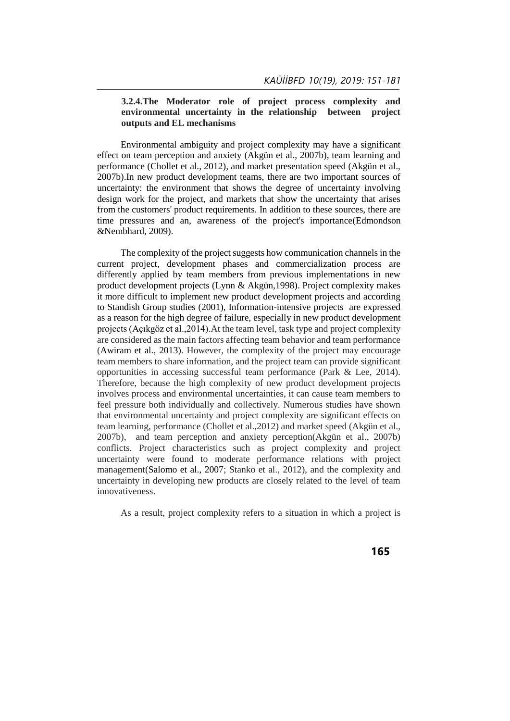## **3.2.4.The Moderator role of project process complexity and environmental uncertainty in the relationship between project outputs and EL mechanisms**

 Environmental ambiguity and project complexity may have a significant effect on team perception and anxiety (Akgün et al., 2007b), team learning and performance (Chollet et al., 2012), and market presentation speed (Akgün et al., 2007b).In new product development teams, there are two important sources of uncertainty: the environment that shows the degree of uncertainty involving design work for the project, and markets that show the uncertainty that arises from the customers' product requirements. In addition to these sources, there are time pressures and an, awareness of the project's importance(Edmondson &Nembhard, 2009).

 The complexity of the project suggests how communication channels in the current project, development phases and commercialization process are differently applied by team members from previous implementations in new product development projects (Lynn & Akgün,1998). Project complexity makes it more difficult to implement new product development projects and according to Standish Group studies (2001), Information-intensive projects are expressed as a reason for the high degree of failure, especially in new product development projects (Açıkgöz et al.,2014).At the team level, task type and project complexity are considered as the main factors affecting team behavior and team performance (Awiram et al., 2013). However, the complexity of the project may encourage team members to share information, and the project team can provide significant opportunities in accessing successful team performance (Park & Lee, 2014). Therefore, because the high complexity of new product development projects involves process and environmental uncertainties, it can cause team members to feel pressure both individually and collectively. Numerous studies have shown that environmental uncertainty and project complexity are significant effects on team learning, performance (Chollet et al.,2012) and market speed (Akgün et al., 2007b), and team perception and anxiety perception(Akgün et al., 2007b) conflicts. Project characteristics such as project complexity and project uncertainty were found to moderate performance relations with project management(Salomo et al., 2007; Stanko et al., 2012), and the complexity and uncertainty in developing new products are closely related to the level of team innovativeness.

As a result, project complexity refers to a situation in which a project is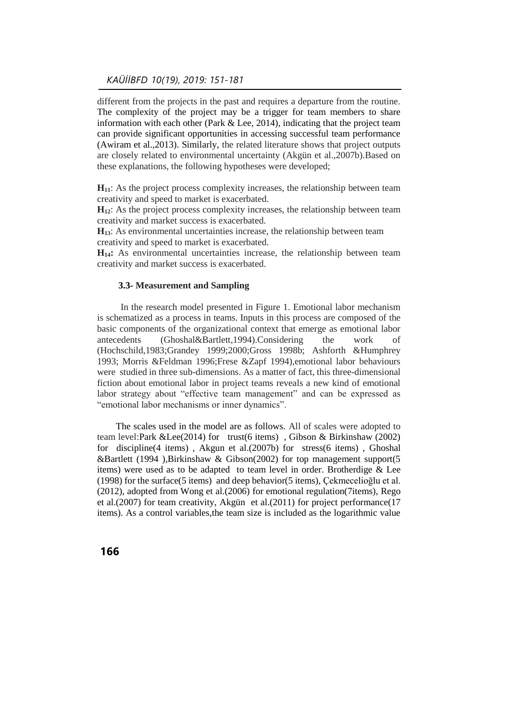## *KAÜİİBFD 10(19), 2019: 151-181*

different from the projects in the past and requires a departure from the routine. The complexity of the project may be a trigger for team members to share information with each other (Park  $& Lee, 2014$ ), indicating that the project team can provide significant opportunities in accessing successful team performance (Awiram et al.,2013). Similarly, the related literature shows that project outputs are closely related to environmental uncertainty (Akgün et al.,2007b).Based on these explanations, the following hypotheses were developed;

**H11**: As the project process complexity increases, the relationship between team creativity and speed to market is exacerbated.

**H12**: As the project process complexity increases, the relationship between team creativity and market success is exacerbated.

**H13**: As environmental uncertainties increase, the relationship between team creativity and speed to market is exacerbated.

**H14:** As environmental uncertainties increase, the relationship between team creativity and market success is exacerbated.

## **3.3- Measurement and Sampling**

In the research model presented in Figure 1. Emotional labor mechanism is schematized as a process in teams. Inputs in this process are composed of the basic components of the organizational context that emerge as emotional labor antecedents (Ghoshal&Bartlett,1994).Considering the work of (Hochschild,1983;Grandey 1999;2000;Gross 1998b; Ashforth &Humphrey 1993; Morris &Feldman 1996;Frese &Zapf 1994),emotional labor behaviours were studied in three sub-dimensions. As a matter of fact, this three-dimensional fiction about emotional labor in project teams reveals a new kind of emotional labor strategy about "effective team management" and can be expressed as "emotional labor mechanisms or inner dynamics".

 The scales used in the model are as follows. All of scales were adopted to team level:Park &Lee(2014) for trust(6 items) , Gibson & Birkinshaw (2002) for discipline(4 items) , Akgun et al.(2007b) for stress(6 items) , Ghoshal &Bartlett (1994 ),Birkinshaw & Gibson(2002) for top management support(5 items) were used as to be adapted to team level in order. Brotherdige & Lee (1998) for the surface(5 items) and deep behavior(5 items), Çekmecelioğlu et al. (2012), adopted from Wong et al.(2006) for emotional regulation(7items), Rego et al.(2007) for team creativity, Akgün et al.(2011) for project performance(17 items). As a control variables,the team size is included as the logarithmic value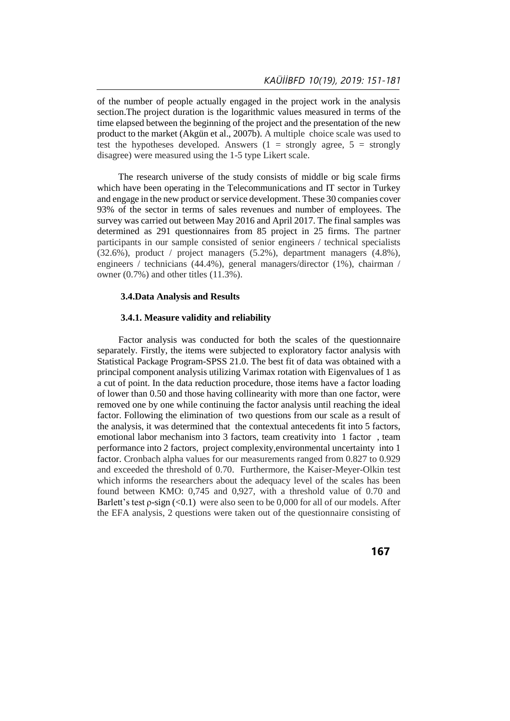of the number of people actually engaged in the project work in the analysis section.The project duration is the logarithmic values measured in terms of the time elapsed between the beginning of the project and the presentation of the new product to the market (Akgün et al., 2007b). A multiple choice scale was used to test the hypotheses developed. Answers  $(1 =$  strongly agree,  $5 =$  strongly disagree) were measured using the 1-5 type Likert scale.

 The research universe of the study consists of middle or big scale firms which have been operating in the Telecommunications and IT sector in Turkey and engage in the new product or service development. These 30 companies cover 93% of the sector in terms of sales revenues and number of employees. The survey was carried out between May 2016 and April 2017. The final samples was determined as 291 questionnaires from 85 project in 25 firms. The partner participants in our sample consisted of senior engineers / technical specialists (32.6%), product / project managers (5.2%), department managers (4.8%), engineers / technicians (44.4%), general managers/director (1%), chairman / owner (0.7%) and other titles (11.3%).

## **3.4.Data Analysis and Results**

## **3.4.1. Measure validity and reliability**

 Factor analysis was conducted for both the scales of the questionnaire separately. Firstly, the items were subjected to exploratory factor analysis with Statistical Package Program-SPSS 21.0. The best fit of data was obtained with a principal component analysis utilizing Varimax rotation with Eigenvalues of 1 as a cut of point. In the data reduction procedure, those items have a factor loading of lower than 0.50 and those having collinearity with more than one factor, were removed one by one while continuing the factor analysis until reaching the ideal factor. Following the elimination of two questions from our scale as a result of the analysis, it was determined that the contextual antecedents fit into 5 factors, emotional labor mechanism into 3 factors, team creativity into 1 factor , team performance into 2 factors, project complexity,environmental uncertainty into 1 factor. Cronbach alpha values for our measurements ranged from 0.827 to 0.929 and exceeded the threshold of 0.70. Furthermore, the Kaiser-Meyer-Olkin test which informs the researchers about the adequacy level of the scales has been found between KMO: 0,745 and 0,927, with a threshold value of 0.70 and Barlett's test  $\rho$ -sign (<0.1) were also seen to be 0,000 for all of our models. After the EFA analysis, 2 questions were taken out of the questionnaire consisting of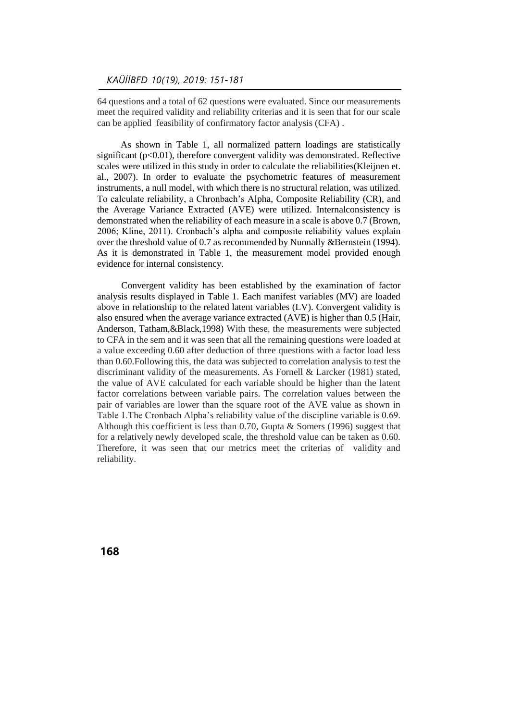64 questions and a total of 62 questions were evaluated. Since our measurements meet the required validity and reliability criterias and it is seen that for our scale can be applied feasibility of confirmatory factor analysis (CFA) .

 As shown in Table 1, all normalized pattern loadings are statistically significant ( $p<0.01$ ), therefore convergent validity was demonstrated. Reflective scales were utilized in this study in order to calculate the reliabilities(Kleijnen et. al., 2007). In order to evaluate the psychometric features of measurement instruments, a null model, with which there is no structural relation, was utilized. To calculate reliability, a Chronbach's Alpha, Composite Reliability (CR), and the Average Variance Extracted (AVE) were utilized. Internalconsistency is demonstrated when the reliability of each measure in a scale is above 0.7 (Brown, 2006; Kline, 2011). Cronbach's alpha and composite reliability values explain over the threshold value of 0.7 as recommended by Nunnally &Bernstein (1994). As it is demonstrated in Table 1, the measurement model provided enough evidence for internal consistency.

Convergent validity has been established by the examination of factor analysis results displayed in Table 1. Each manifest variables (MV) are loaded above in relationship to the related latent variables (LV). Convergent validity is also ensured when the average variance extracted (AVE) is higher than 0.5 (Hair, Anderson, Tatham,&Black,1998) With these, the measurements were subjected to CFA in the sem and it was seen that all the remaining questions were loaded at a value exceeding 0.60 after deduction of three questions with a factor load less than 0.60.Following this, the data was subjected to correlation analysis to test the discriminant validity of the measurements. As Fornell & Larcker (1981) stated, the value of AVE calculated for each variable should be higher than the latent factor correlations between variable pairs. The correlation values between the pair of variables are lower than the square root of the AVE value as shown in Table 1.The Cronbach Alpha's reliability value of the discipline variable is 0.69. Although this coefficient is less than 0.70, Gupta & Somers (1996) suggest that for a relatively newly developed scale, the threshold value can be taken as 0.60. Therefore, it was seen that our metrics meet the criterias of validity and reliability.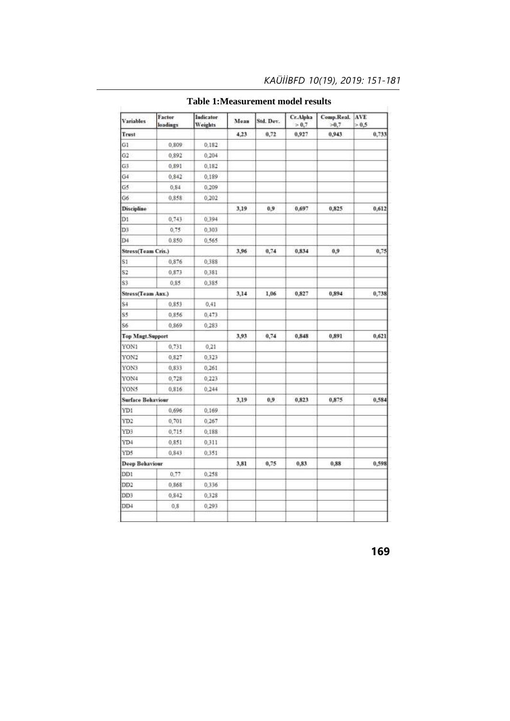| <b>Variables</b>         | Factor<br>loadings | Indicator<br>Weights | Mean | Std. Dev. | Cr.Alpha<br>> 0.7 | Comp.Real.<br>$-0.7$ | AVE<br>> 0.5 |
|--------------------------|--------------------|----------------------|------|-----------|-------------------|----------------------|--------------|
| Trust                    |                    |                      | 4,23 | 0,72      | 0,927             | 0,943                | 0,733        |
| G1                       | 0,809              | 0,182                |      |           |                   |                      |              |
| G2                       | 0.892              | 0.204                |      |           |                   |                      |              |
| G3                       | 0,891              | 0,182                |      |           |                   |                      |              |
| G4                       | 0.842              | 0,189                |      |           |                   |                      |              |
| G5                       | 0,84               | 0,209                |      |           |                   |                      |              |
| G6                       | 0,858              | 0,202                |      |           |                   |                      |              |
| <b>Discipline</b>        |                    |                      | 3,19 | 0,9       | 0,697             | 0,825                | 0,612        |
| D1                       | 0,743              | 0,394                |      |           |                   |                      |              |
| D3                       | 0,75               | 0,303                |      |           |                   |                      |              |
| D <sub>4</sub>           | 0.850              | 0,565                |      |           |                   |                      |              |
| Stress(Team Cris.)       |                    |                      | 3,96 | 0,74      | 0,834             | $^{0,9}$             | 0,75         |
| S1                       | 0,876              | 0,388                |      |           |                   |                      |              |
| S2                       | 0,873              | 0,381                |      |           |                   |                      |              |
| S3                       | 0,85               | 0,385                |      |           |                   |                      |              |
| Stress(Team Anx.)        |                    |                      | 3,14 | 1,06      | 0,827             | 0,894                | 0,738        |
| S4                       | 0,853              | 0,41                 |      |           |                   |                      |              |
| S5                       | 0.856              | 0,473                |      |           |                   |                      |              |
| S6                       | 0,869              | 0,283                |      |           |                   |                      |              |
| <b>Top Magt.Support</b>  |                    |                      | 3,93 | 0,74      | 0,848             | 0,891                | 0,621        |
| YON1                     | 0,731              | 0,21                 |      |           |                   |                      |              |
| YON2                     | 0,827              | 0,323                |      |           |                   |                      |              |
| YON3                     | 0,833              | 0,261                |      |           |                   |                      |              |
| YON4                     | 0,728              | 0,223                |      |           |                   |                      |              |
| YON5                     | 0.816              | 0,244                |      |           |                   |                      |              |
| <b>Surface Behaviour</b> |                    |                      | 3,19 | 0,9       | 0,823             | 0,875                | 0,584        |
| YD1                      | 0,696              | 0,169                |      |           |                   |                      |              |
| YD2                      | 0,701              | 0,267                |      |           |                   |                      |              |
| YD3                      | 0,715              | 0,188                |      |           |                   |                      |              |
| YD4                      | 0,851              | 0,311                |      |           |                   |                      |              |
| YD5                      | 0,843              | 0,351                |      |           |                   |                      |              |
| Deep Behaviour           |                    |                      | 3,81 | 0,75      | 0,83              | 0,88                 | 0,598        |
| DD1                      | 0,77               | 0,258                |      |           |                   |                      |              |
| DD2                      | 0,868              | 0,336                |      |           |                   |                      |              |
| DD3                      | 0.842              | 0,328                |      |           |                   |                      |              |
| DD <sub>4</sub>          | 0,8                | 0,293                |      |           |                   |                      |              |
|                          |                    |                      |      |           |                   |                      |              |

# **Table 1:Measurement model results**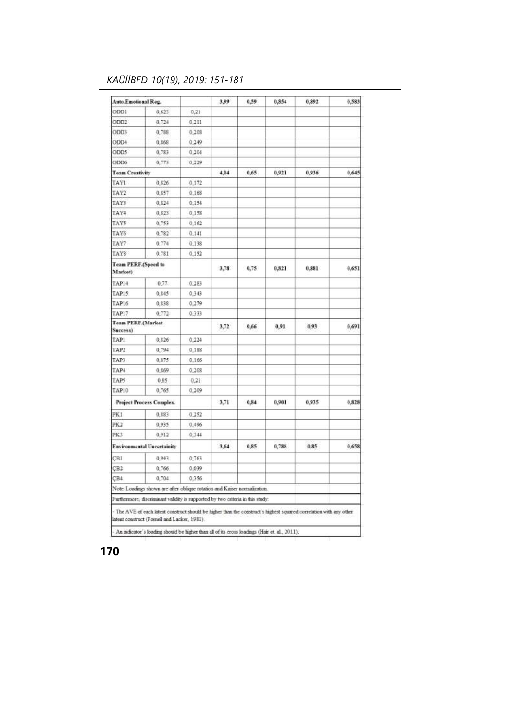# *KAÜİİBFD 10(19), 2019: 151-181*

| <b>Auto.Emotional Reg.</b>            |                                                                                                                                                                   |       | 3,99 | 0.59 | 0,854 | 0,892 | 0.583 |
|---------------------------------------|-------------------------------------------------------------------------------------------------------------------------------------------------------------------|-------|------|------|-------|-------|-------|
| ODD1                                  | 0,623                                                                                                                                                             | 0,21  |      |      |       |       |       |
| ODD <sub>2</sub>                      | 0.724                                                                                                                                                             | 0.211 |      |      |       |       |       |
| ODD3                                  | 0,788                                                                                                                                                             | 0,208 |      |      |       |       |       |
| ODD4                                  | 0,868                                                                                                                                                             | 0.249 |      |      |       |       |       |
| ODD5                                  | 0,783                                                                                                                                                             | 0,204 |      |      |       |       |       |
| ODD6                                  | 0,773                                                                                                                                                             | 0,229 |      |      |       |       |       |
| <b>Team Creativity</b>                |                                                                                                                                                                   |       | 4,04 | 0.65 | 0,921 | 0,936 | 0,645 |
| TAY1                                  | 0.826                                                                                                                                                             | 0.172 |      |      |       |       |       |
| TAY2                                  | 0,857                                                                                                                                                             | 0.168 |      |      |       |       |       |
| TAY3                                  | 0,824                                                                                                                                                             | 0.154 |      |      |       |       |       |
| TAY4                                  | 0.823                                                                                                                                                             | 0.158 |      |      |       |       |       |
| TAY5                                  | 0.753                                                                                                                                                             | 0.162 |      |      |       |       |       |
| TAY6                                  | 0,782                                                                                                                                                             | 0,141 |      |      |       |       |       |
| TAY7                                  | 0.774                                                                                                                                                             | 0.138 |      |      |       |       |       |
| TAY8                                  | 0.781                                                                                                                                                             | 0.152 |      |      |       |       |       |
| <b>Team PERF (Speed to</b><br>Market) |                                                                                                                                                                   |       | 3,78 | 0,75 | 0,821 | 0,881 | 0,651 |
| TAP14                                 | 0.77                                                                                                                                                              | 0,283 |      |      |       |       |       |
| TAP15                                 | 0.845                                                                                                                                                             | 0.343 |      |      |       |       |       |
| TAP16                                 | 0,838                                                                                                                                                             | 0,279 |      |      |       |       |       |
| TAP17                                 | 0,772                                                                                                                                                             | 0,333 |      |      |       |       |       |
| Team PERF.(Market<br>Success)         |                                                                                                                                                                   |       | 3,72 | 0,66 | 0.91  | 0,93  | 0,691 |
| TAP1                                  | 0.826                                                                                                                                                             | 0.224 |      |      |       |       |       |
| TAP2                                  | 0,794                                                                                                                                                             | 0,188 |      |      |       |       |       |
| TAP3                                  | 0,875                                                                                                                                                             | 0,166 |      |      |       |       |       |
| TAP4                                  | 0.869                                                                                                                                                             | 0.208 |      |      |       |       |       |
| TAP5                                  | 0.85                                                                                                                                                              | 0.21  |      |      |       |       |       |
| TAP10                                 | 0.765                                                                                                                                                             | 0.209 |      |      |       |       |       |
|                                       | <b>Project Process Complex.</b>                                                                                                                                   |       | 3.71 | 0.84 | 0,901 | 0.935 | 0.828 |
| PK1                                   | 0,883                                                                                                                                                             | 0,252 |      |      |       |       |       |
| PK2                                   | 0.935                                                                                                                                                             | 0,496 |      |      |       |       |       |
| PK3                                   | 0.912                                                                                                                                                             | 0.344 |      |      |       |       |       |
|                                       | <b>Environmental Uncertainity</b>                                                                                                                                 |       | 3,64 | 0,85 | 0,788 | 0,85  | 0.658 |
| CB1                                   | 0,943                                                                                                                                                             | 0.763 |      |      |       |       |       |
| CB <sub>2</sub>                       | 0.766                                                                                                                                                             | 0,039 |      |      |       |       |       |
| CB <sub>4</sub>                       | 0.704                                                                                                                                                             | 0,356 |      |      |       |       |       |
|                                       | Note: Loadings shown are after oblique rotation and Kaiser normalization.                                                                                         |       |      |      |       |       |       |
|                                       | Furthermore, discriminant validity is supported by two criteria in this study:                                                                                    |       |      |      |       |       |       |
|                                       | The AVE of each latent construct should be higher than the construct's highest squared correlation with any other<br>latent construct (Fornell and Lacker, 1981). |       |      |      |       |       |       |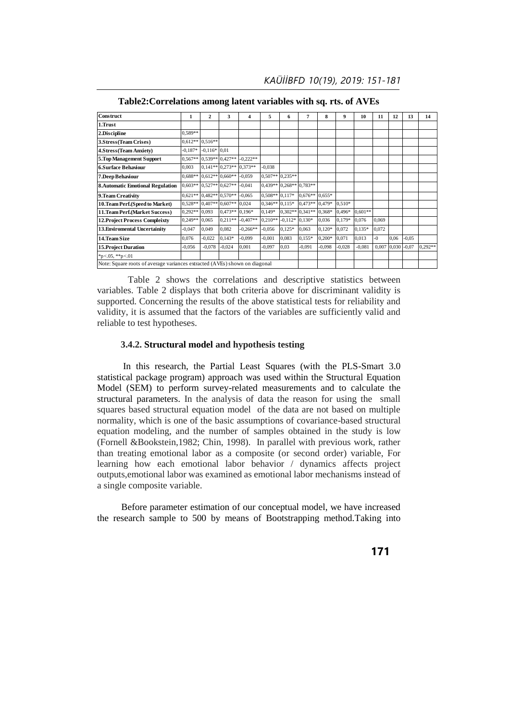*KAÜİİBFD 10(19), 2019: 151-181*

| <b>Construct</b>                                                           | 1.        | $\mathbf{2}$              | 3                         | 4          | 5                | 6                 | 7                         | 8        | 9        | 10        | 11    | 12    | 13      | 14      |
|----------------------------------------------------------------------------|-----------|---------------------------|---------------------------|------------|------------------|-------------------|---------------------------|----------|----------|-----------|-------|-------|---------|---------|
| 1.Trust                                                                    |           |                           |                           |            |                  |                   |                           |          |          |           |       |       |         |         |
| 2.Discipline                                                               | $0.589**$ |                           |                           |            |                  |                   |                           |          |          |           |       |       |         |         |
| 3.Stress(Team Crises)                                                      | $0.612**$ | $0.516**$                 |                           |            |                  |                   |                           |          |          |           |       |       |         |         |
| 4.Stress (Team Anxiety)                                                    | $-0.187*$ | $-0.116*0.01$             |                           |            |                  |                   |                           |          |          |           |       |       |         |         |
| 5. Top Management Support                                                  | $0.567**$ |                           | $0.539**0.427**$          | $-0.222**$ |                  |                   |                           |          |          |           |       |       |         |         |
| <b>6.Surface Behaviour</b>                                                 | 0,003     |                           | $0.141**0.273**$          | $0.373**$  | $-0,038$         |                   |                           |          |          |           |       |       |         |         |
| 7.Deep Behaviour                                                           |           |                           | $0.688**$ 0.612** 0.660** | $-0.059$   |                  | $0.507**$ 0.235** |                           |          |          |           |       |       |         |         |
| <b>8.Automatic Emotional Regulation</b>                                    |           |                           | $0.603**$ 0.527** 0.627** | $-0,041$   |                  |                   | $0.439**$ 0.268** 0.783** |          |          |           |       |       |         |         |
| 9. Team Creativity                                                         |           | $0.621**$ 0.482** 0.570** |                           | $-0,065$   | $0.508**0.117*$  |                   | $0.676**$                 | $0,655*$ |          |           |       |       |         |         |
| 10.Team Perf.(Speed to Market)                                             |           |                           | $0.528**$ 0.407** 0.607** | 0,024      | $0.346**$ 0.115* |                   | $0.473**0.479*$           |          | $0.510*$ |           |       |       |         |         |
| 11. Team Perf. (Market Success)                                            | 0,292**   | 0,093                     | $0.473**$                 | $0.196*$   | $0.149*$         |                   | $0.302**0.341**$          | $0,368*$ | 0,496*   | $0.601**$ |       |       |         |         |
| <b>12. Project Process Compleixty</b>                                      | $0,249**$ | 0,065                     | $0.211**$                 | $-0.407**$ | $0,210**$        | $-0.112*0.130*$   |                           | 0,036    | $0,179*$ | 0,076     | 0.069 |       |         |         |
| 13. Enviromental Uncertainity                                              | $-0,047$  | 0,049                     | 0,082                     | $-0,266**$ | $-0,056$         | $0,125*$          | 0,063                     | $0,120*$ | 0,072    | $0,135*$  | 0.072 |       |         |         |
| 14. Team Size                                                              | 0,076     | $-0,022$                  | $0,143*$                  | $-0,099$   | $-0,001$         | 0,083             | $0.155*$                  | $0,200*$ | 0,071    | 0,013     | $-0$  | 0,06  | $-0.05$ |         |
| <b>15. Project Duration</b>                                                | $-0,056$  | $-0,078$                  | $-0,024$                  | 0,001      | $-0,097$         | 0.03              | $-0,091$                  | $-0,098$ | $-0,028$ | $-0.081$  | 0,007 | 0,030 | $-0.07$ | 0,292** |
| *p<.05, **p<.01                                                            |           |                           |                           |            |                  |                   |                           |          |          |           |       |       |         |         |
| Note: Square roots of average variances extracted (AVEs) shown on diagonal |           |                           |                           |            |                  |                   |                           |          |          |           |       |       |         |         |

**Table2:Correlations among latent variables with sq. rts. of AVEs**

Table 2 shows the correlations and descriptive statistics between variables. Table 2 displays that both criteria above for discriminant validity is supported. Concerning the results of the above statistical tests for reliability and validity, it is assumed that the factors of the variables are sufficiently valid and reliable to test hypotheses.

## **3.4.2. Structural model and hypothesis testing**

 In this research, the Partial Least Squares (with the PLS-Smart 3.0 statistical package program) approach was used within the Structural Equation Model (SEM) to perform survey-related measurements and to calculate the structural parameters. In the analysis of data the reason for using the small squares based structural equation model of the data are not based on multiple normality, which is one of the basic assumptions of covariance-based structural equation modeling, and the number of samples obtained in the study is low (Fornell &Bookstein,1982; Chin, 1998). In parallel with previous work, rather than treating emotional labor as a composite (or second order) variable, For learning how each emotional labor behavior / dynamics affects project outputs,emotional labor was examined as emotional labor mechanisms instead of a single composite variable.

Before parameter estimation of our conceptual model, we have increased the research sample to 500 by means of Bootstrapping method.Taking into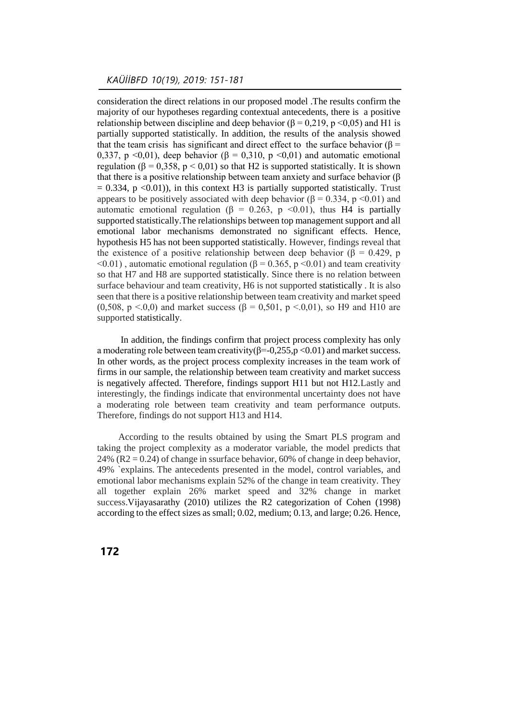consideration the direct relations in our proposed model .The results confirm the majority of our hypotheses regarding contextual antecedents, there is a positive relationship between discipline and deep behavior ( $\beta = 0.219$ , p <0,05) and H1 is partially supported statistically. In addition, the results of the analysis showed that the team crisis has significant and direct effect to the surface behavior ( $\beta$  = 0,337, p <0,01), deep behavior ( $\beta$  = 0,310, p <0,01) and automatic emotional regulation ( $\beta = 0.358$ ,  $p < 0.01$ ) so that H2 is supported statistically. It is shown that there is a positive relationship between team anxiety and surface behavior (β  $= 0.334$ , p <0.01)), in this context H3 is partially supported statistically. Trust appears to be positively associated with deep behavior (β = 0.334, p <0.01) and automatic emotional regulation (β = 0.263, p <0.01), thus H4 is partially supported statistically.The relationships between top management support and all emotional labor mechanisms demonstrated no significant effects. Hence, hypothesis H5 has not been supported statistically. However, findings reveal that the existence of a positive relationship between deep behavior ( $\beta$  = 0.429, p  $\leq 0.01$ ), automatic emotional regulation ( $\beta = 0.365$ , p $\leq 0.01$ ) and team creativity so that H7 and H8 are supported statistically. Since there is no relation between surface behaviour and team creativity, H6 is not supported statistically . It is also seen that there is a positive relationship between team creativity and market speed (0,508, p <.0,0) and market success ( $\beta$  = 0,501, p <.0,01), so H9 and H10 are supported statistically.

 In addition, the findings confirm that project process complexity has only a moderating role between team creativity( $\beta$ =-0,255,p <0.01) and market success. In other words, as the project process complexity increases in the team work of firms in our sample, the relationship between team creativity and market success is negatively affected. Therefore, findings support H11 but not H12.Lastly and interestingly, the findings indicate that environmental uncertainty does not have a moderating role between team creativity and team performance outputs. Therefore, findings do not support H13 and H14.

 According to the results obtained by using the Smart PLS program and taking the project complexity as a moderator variable, the model predicts that 24% ( $R2 = 0.24$ ) of change in ssurface behavior, 60% of change in deep behavior. 49% `explains. The antecedents presented in the model, control variables, and emotional labor mechanisms explain 52% of the change in team creativity. They all together explain 26% market speed and 32% change in market success.Vijayasarathy (2010) utilizes the R2 categorization of Cohen (1998) according to the effect sizes as small; 0.02, medium; 0.13, and large; 0.26. Hence,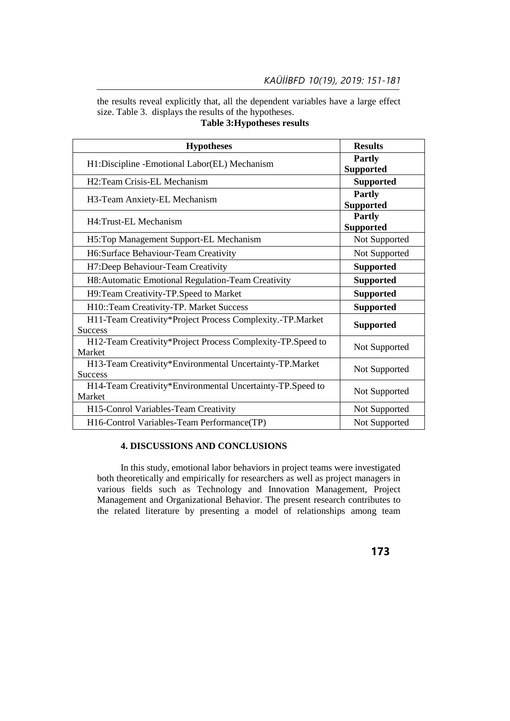the results reveal explicitly that, all the dependent variables have a large effect size. Table 3. displays the results of the hypotheses. **Table 3:Hypotheses results**

| <b>Hypotheses</b>                                          | <b>Results</b>   |  |  |
|------------------------------------------------------------|------------------|--|--|
| H1:Discipline -Emotional Labor(EL) Mechanism               | <b>Partly</b>    |  |  |
|                                                            | <b>Supported</b> |  |  |
| H2:Team Crisis-EL Mechanism                                | <b>Supported</b> |  |  |
| H3-Team Anxiety-EL Mechanism                               | <b>Partly</b>    |  |  |
|                                                            | <b>Supported</b> |  |  |
| H4: Trust-EL Mechanism                                     | <b>Partly</b>    |  |  |
|                                                            | <b>Supported</b> |  |  |
| H5:Top Management Support-EL Mechanism                     | Not Supported    |  |  |
| H6:Surface Behaviour-Team Creativity                       | Not Supported    |  |  |
| H7:Deep Behaviour-Team Creativity                          | <b>Supported</b> |  |  |
| H8: Automatic Emotional Regulation-Team Creativity         | <b>Supported</b> |  |  |
| H9:Team Creativity-TP.Speed to Market                      | <b>Supported</b> |  |  |
| H10::Team Creativity-TP. Market Success                    | <b>Supported</b> |  |  |
| H11-Team Creativity*Project Process Complexity.-TP.Market  | <b>Supported</b> |  |  |
| <b>Success</b>                                             |                  |  |  |
| H12-Team Creativity*Project Process Complexity-TP.Speed to | Not Supported    |  |  |
| Market                                                     |                  |  |  |
| H13-Team Creativity*Environmental Uncertainty-TP.Market    | Not Supported    |  |  |
| <b>Success</b>                                             |                  |  |  |
| H14-Team Creativity*Environmental Uncertainty-TP.Speed to  | Not Supported    |  |  |
| Market                                                     |                  |  |  |
| H15-Conrol Variables-Team Creativity                       | Not Supported    |  |  |
| H16-Control Variables-Team Performance(TP)                 | Not Supported    |  |  |

## **4. DISCUSSIONS AND CONCLUSIONS**

 In this study, emotional labor behaviors in project teams were investigated both theoretically and empirically for researchers as well as project managers in various fields such as Technology and Innovation Management, Project Management and Organizational Behavior. The present research contributes to the related literature by presenting a model of relationships among team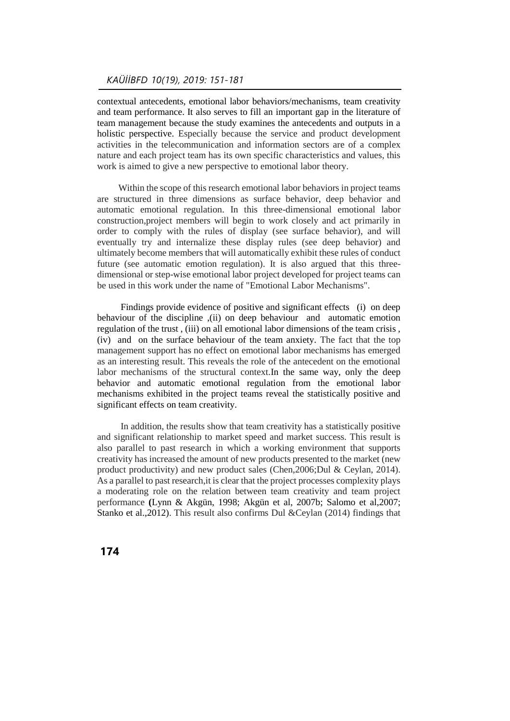contextual antecedents, emotional labor behaviors/mechanisms, team creativity and team performance. It also serves to fill an important gap in the literature of team management because the study examines the antecedents and outputs in a holistic perspective. Especially because the service and product development activities in the telecommunication and information sectors are of a complex nature and each project team has its own specific characteristics and values, this work is aimed to give a new perspective to emotional labor theory.

 Within the scope of this research emotional labor behaviors in project teams are structured in three dimensions as surface behavior, deep behavior and automatic emotional regulation. In this three-dimensional emotional labor construction,project members will begin to work closely and act primarily in order to comply with the rules of display (see surface behavior), and will eventually try and internalize these display rules (see deep behavior) and ultimately become members that will automatically exhibit these rules of conduct future (see automatic emotion regulation). It is also argued that this threedimensional or step-wise emotional labor project developed for project teams can be used in this work under the name of "Emotional Labor Mechanisms".

 Findings provide evidence of positive and significant effects (i) on deep behaviour of the discipline ,(ii) on deep behaviour and automatic emotion regulation of the trust , (iii) on all emotional labor dimensions of the team crisis , (iv) and on the surface behaviour of the team anxiety. The fact that the top management support has no effect on emotional labor mechanisms has emerged as an interesting result. This reveals the role of the antecedent on the emotional labor mechanisms of the structural context.In the same way, only the deep behavior and automatic emotional regulation from the emotional labor mechanisms exhibited in the project teams reveal the statistically positive and significant effects on team creativity.

 In addition, the results show that team creativity has a statistically positive and significant relationship to market speed and market success. This result is also parallel to past research in which a working environment that supports creativity has increased the amount of new products presented to the market (new product productivity) and new product sales (Chen,2006;Dul & Ceylan, 2014). As a parallel to past research,it is clear that the project processes complexity plays a moderating role on the relation between team creativity and team project performance **(**Lynn & Akgün, 1998; Akgün et al, 2007b; Salomo et al,2007; Stanko et al.,2012). This result also confirms Dul &Ceylan (2014) findings that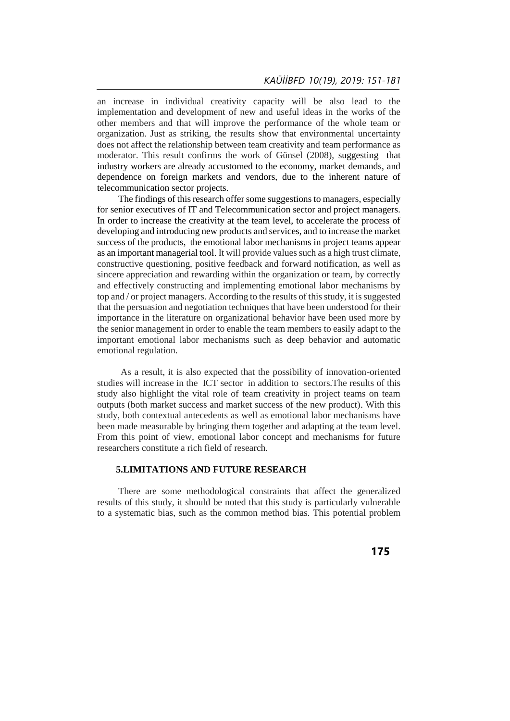an increase in individual creativity capacity will be also lead to the implementation and development of new and useful ideas in the works of the other members and that will improve the performance of the whole team or organization. Just as striking, the results show that environmental uncertainty does not affect the relationship between team creativity and team performance as moderator. This result confirms the work of Günsel (2008), suggesting that industry workers are already accustomed to the economy, market demands, and dependence on foreign markets and vendors, due to the inherent nature of telecommunication sector projects.

 The findings of this research offer some suggestions to managers, especially for senior executives of IT and Telecommunication sector and project managers. In order to increase the creativity at the team level, to accelerate the process of developing and introducing new products and services, and to increase the market success of the products, the emotional labor mechanisms in project teams appear as an important managerial tool. It will provide values such as a high trust climate, constructive questioning, positive feedback and forward notification, as well as sincere appreciation and rewarding within the organization or team, by correctly and effectively constructing and implementing emotional labor mechanisms by top and / or project managers. According to the results of this study, it is suggested that the persuasion and negotiation techniques that have been understood for their importance in the literature on organizational behavior have been used more by the senior management in order to enable the team members to easily adapt to the important emotional labor mechanisms such as deep behavior and automatic emotional regulation.

 As a result, it is also expected that the possibility of innovation-oriented studies will increase in the ICT sector in addition to sectors.The results of this study also highlight the vital role of team creativity in project teams on team outputs (both market success and market success of the new product). With this study, both contextual antecedents as well as emotional labor mechanisms have been made measurable by bringing them together and adapting at the team level. From this point of view, emotional labor concept and mechanisms for future researchers constitute a rich field of research.

## **5.LIMITATIONS AND FUTURE RESEARCH**

 There are some methodological constraints that affect the generalized results of this study, it should be noted that this study is particularly vulnerable to a systematic bias, such as the common method bias. This potential problem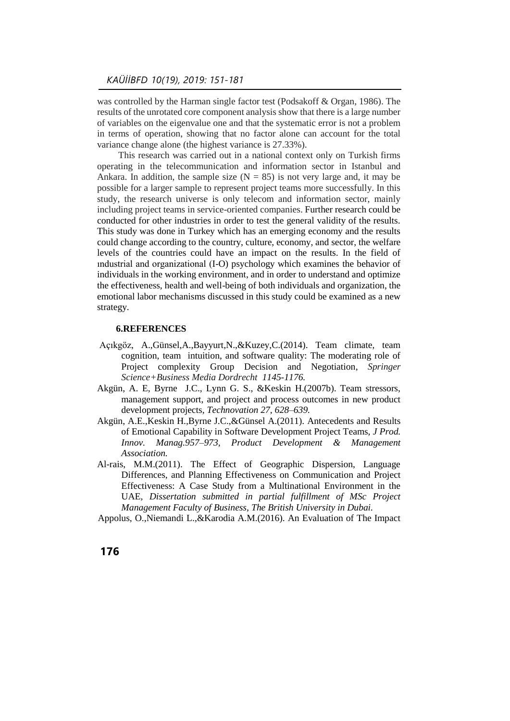was controlled by the Harman single factor test (Podsakoff & Organ, 1986). The results of the unrotated core component analysis show that there is a large number of variables on the eigenvalue one and that the systematic error is not a problem in terms of operation, showing that no factor alone can account for the total variance change alone (the highest variance is 27.33%).

 This research was carried out in a national context only on Turkish firms operating in the telecommunication and information sector in Istanbul and Ankara. In addition, the sample size  $(N = 85)$  is not very large and, it may be possible for a larger sample to represent project teams more successfully. In this study, the research universe is only telecom and information sector, mainly including project teams in service-oriented companies. Further research could be conducted for other industries in order to test the general validity of the results. This study was done in Turkey which has an emerging economy and the results could change according to the country, culture, economy, and sector, the welfare levels of the countries could have an impact on the results. In the field of ındustrial and organizational (I-O) psychology which examines the behavior of individuals in the working environment, and in order to understand and optimize the effectiveness, health and well-being of both individuals and organization, the emotional labor mechanisms discussed in this study could be examined as a new strategy.

#### **6.REFERENCES**

- Açıkgöz, A.,Günsel,A.,Bayyurt,N.,&Kuzey,C.(2014). Team climate, team cognition, team intuition, and software quality: The moderating role of Project complexity Group Decision and Negotiation, *Springer Science+Business Media Dordrecht 1145-1176.*
- Akgün, A. E, Byrne J.C., Lynn G. S., &Keskin H.(2007b). Team stressors, management support, and project and process outcomes in new product development projects, *Technovation 27, 628–639.*
- Akgün, A.E.,Keskin H.,Byrne J.C.,&Günsel A.(2011). Antecedents and Results of Emotional Capability in Software Development Project Teams, *J Prod. Innov. Manag.957–973, Product Development & Management Association.*
- Al-rais, M.M.(2011). The Effect of Geographic Dispersion, Language Differences, and Planning Effectiveness on Communication and Project Effectiveness: A Case Study from a Multinational Environment in the UAE, *Dissertation submitted in partial fulfillment of MSc Project Management Faculty of Business, The British University in Dubai.*
- Appolus, O.,Niemandi L.,&Karodia A.M.(2016). An Evaluation of The Impact
- **176**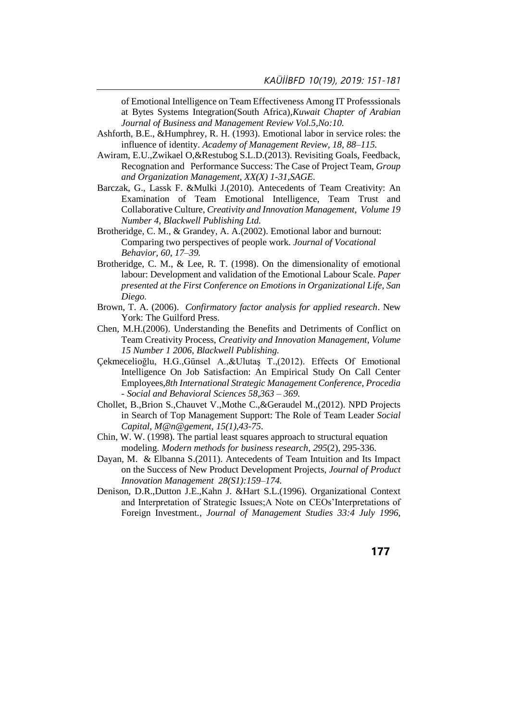of Emotional Intelligence on Team Effectiveness Among IT Professsionals at Bytes Systems Integration(South Africa),*Kuwait Chapter of Arabian Journal of Business and Management Review Vol.5,No:10.*

- Ashforth, B.E., &Humphrey, R. H. (1993). Emotional labor in service roles: the influence of identity. *Academy of Management Review, 18, 88–115.*
- Awiram, E.U.,Zwikael O,&Restubog S.L.D.(2013). Revisiting Goals, Feedback, Recognation and Performance Success: The Case of Project Team, *Group and Organization Management, XX(X) 1-31,SAGE.*
- Barczak, G., Lassk F. &Mulki J.(2010). Antecedents of Team Creativity: An Examination of Team Emotional Intelligence, Team Trust and Collaborative Culture, *Creativity and Innovation Management, Volume 19 Number 4, Blackwell Publishing Ltd.*
- Brotheridge, C. M., & Grandey, A. A.(2002). Emotional labor and burnout: Comparing two perspectives of people work. *Journal of Vocational Behavior, 60, 17–39.*
- Brotheridge, C. M., & Lee, R. T. (1998). On the dimensionality of emotional labour: Development and validation of the Emotional Labour Scale. *Paper presented at the First Conference on Emotions in Organizational Life, San Diego.*
- Brown, T. A. (2006). *Confirmatory factor analysis for applied research*. New York: The Guilford Press.
- Chen, M.H.(2006). Understanding the Benefits and Detriments of Conflict on Team Creativity Process, *Creativity and Innovation Management, Volume 15 Number 1 2006, Blackwell Publishing.*
- Çekmecelioğlu, H.G.,Günsel A.,&Ulutaş T.,(2012). Effects Of Emotional Intelligence On Job Satisfaction: An Empirical Study On Call Center Employees,*8th International Strategic Management Conference, Procedia - Social and Behavioral Sciences 58,363 – 369.*
- Chollet, B.,Brion S.,Chauvet V.,Mothe C.,&Geraudel M.,(2012). NPD Projects in Search of Top Management Support: The Role of Team Leader *Social Capital, M@n@gement, 15(1),43-75*.
- Chin, W. W. (1998). The partial least squares approach to structural equation modeling. *Modern methods for business research*, *295*(2), 295-336.
- Dayan, M. & Elbanna S.(2011). Antecedents of Team Intuition and Its Impact on the Success of New Product Development Projects, *Journal of Product Innovation Management 28(S1):159–174.*
- Denison, D.R.,Dutton J.E.,Kahn J. &Hart S.L.(1996). Organizational Context and Interpretation of Strategic Issues;A Note on CEOs'Interpretations of Foreign Investment*., Journal of Management Studies 33:4 July 1996,*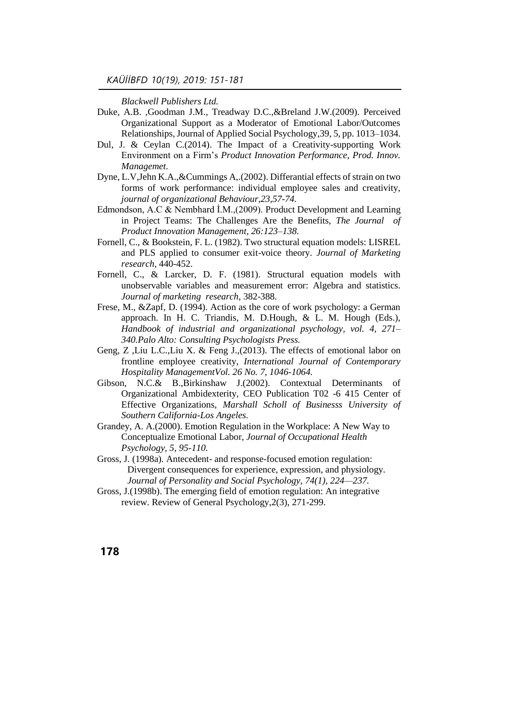*Blackwell Publishers Ltd.*

- Duke, A.B. ,Goodman J.M., Treadway D.C.,&Breland J.W.(2009). Perceived Organizational Support as a Moderator of Emotional Labor/Outcomes Relationships, Journal of Applied Social Psychology, 39, 5, pp. 1013–1034.
- Dul, J. & Ceylan C.(2014). The Impact of a Creativity-supporting Work Environment on a Firm's *Product Innovation Performance, Prod. Innov. Managemet.*
- Dyne, L.V,Jehn K.A.,&Cummings A,.(2002). Differantial effects of strain on two forms of work performance: individual employee sales and creativity, *journal of organizational Behaviour,23,57-74.*
- Edmondson, A.C & Nembhard İ.M.,(2009). Product Development and Learning in Project Teams: The Challenges Are the Benefits, *The Journal of Product Innovation Management, 26:123–138.*
- Fornell, C., & Bookstein, F. L. (1982). Two structural equation models: LISREL and PLS applied to consumer exit-voice theory. *Journal of Marketing research*, 440-452.
- Fornell, C., & Larcker, D. F. (1981). Structural equation models with unobservable variables and measurement error: Algebra and statistics. *Journal of marketing research*, 382-388.
- Frese, M., &Zapf, D. (1994). Action as the core of work psychology: a German approach. In H. C. Triandis, M. D.Hough, & L. M. Hough (Eds.), *Handbook of industrial and organizational psychology, vol. 4, 271– 340.Palo Alto: Consulting Psychologists Press.*
- Geng, Z ,Liu L.C.,Liu X. & Feng J.,(2013). The effects of emotional labor on frontline employee creativity, *International Journal of Contemporary Hospitality ManagementVol. 26 No. 7, 1046-1064.*
- Gibson, N.C.& B.,Birkinshaw J.(2002). Contextual Determinants of Organizational Ambidexterity, CEO Publication T02 -6 415 Center of Effective Organizations, *Marshall Scholl of Businesss University of Southern California-Los Angeles.*
- Grandey, A. A.(2000). Emotion Regulation in the Workplace: A New Way to Conceptualize Emotional Labor, *Journal of Occupational Health Psychology, 5, 95-110.*
- Gross, J. (1998a). Antecedent- and response-focused emotion regulation: Divergent consequences for experience, expression, and physiology. *Journal of Personality and Social Psychology, 74(1), 224—237.*
- Gross, J.(1998b). The emerging field of emotion regulation: An integrative review. Review of General Psychology,2(3), 271-299.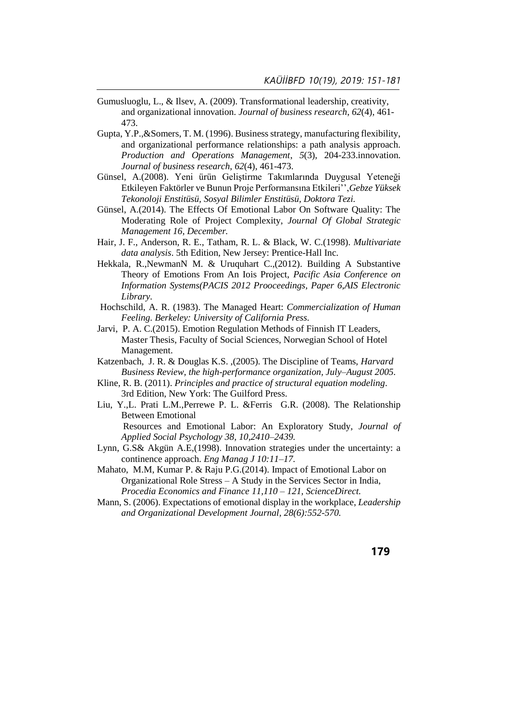- Gumusluoglu, L., & Ilsev, A. (2009). Transformational leadership, creativity, and organizational innovation. *Journal of business research*, *62*(4), 461- 473.
- Gupta, Y.P.,&Somers, T. M. (1996). Business strategy, manufacturing flexibility, and organizational performance relationships: a path analysis approach. *Production and Operations Management*, *5*(3), 204-233.innovation. *Journal of business research*, *62*(4), 461-473.
- Günsel, A.(2008). Yeni ürün Geliştirme Takımlarında Duygusal Yeteneği Etkileyen Faktörler ve Bunun Proje Performansına Etkileri'',*Gebze Yüksek Tekonoloji Enstitüsü, Sosyal Bilimler Enstitüsü, Doktora Tezi.*
- Günsel, A.(2014). The Effects Of Emotional Labor On Software Quality: The Moderating Role of Project Complexity, *Journal Of Global Strategic Management 16, December.*
- Hair, J. F., Anderson, R. E., Tatham, R. L. & Black, W. C.(1998). *Multivariate data analysis*. 5th Edition, New Jersey: Prentice-Hall Inc.
- Hekkala, R.,NewmanN M. & Uruquhart C.,(2012). Building A Substantive Theory of Emotions From An Iois Project, *Pacific Asia Conference on Information Systems(PACIS 2012 Prooceedings, Paper 6,AIS Electronic Library.*
- Hochschild, A. R. (1983). The Managed Heart: *Commercialization of Human Feeling. Berkeley: University of California Press.*
- Jarvi, P. A. C.(2015). Emotion Regulation Methods of Finnish IT Leaders, Master Thesis, Faculty of Social Sciences, Norwegian School of Hotel Management.
- Katzenbach, J. R. & Douglas K.S. ,(2005). The Discipline of Teams, *Harvard Business Review, the high-performance organization, July–August 2005.*
- Kline, R. B. (2011). *Principles and practice of structural equation modeling*. 3rd Edition, New York: The Guilford Press.
- Liu, Y.,L. Prati L.M.,Perrewe P. L. &Ferris G.R. (2008). The Relationship Between Emotional

 Resources and Emotional Labor: An Exploratory Study, *Journal of Applied Social Psychology 38, 10,2410–2439.*

- Lynn, G.S& Akgün A.E,(1998). Innovation strategies under the uncertainty: a continence approach. *Eng Manag J 10:11–17.*
- Mahato, M.M, Kumar P. & Raju P.G.(2014). Impact of Emotional Labor on Organizational Role Stress – A Study in the Services Sector in India, *Procedia Economics and Finance 11,110 – 121, ScienceDirect.*
- Mann, S. (2006). Expectations of emotional display in the workplace, *Leadership and Organizational Development Journal, 28(6):552-570.*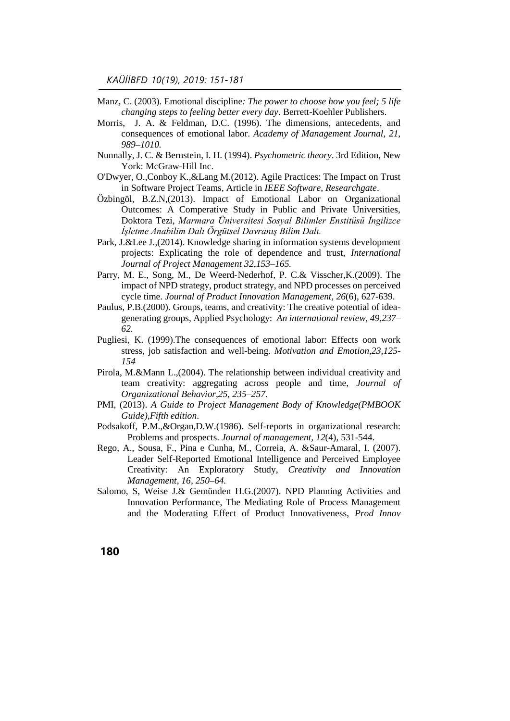- Manz, C. (2003). Emotional discipline*: The power to choose how you feel; 5 life changing steps to feeling better every day*. Berrett-Koehler Publishers.
- Morris, J. A. & Feldman, D.C. (1996). The dimensions, antecedents, and consequences of emotional labor. *Academy of Management Journal, 21, 989–1010.*
- Nunnally, J. C. & Bernstein, I. H. (1994). *Psychometric theory*. 3rd Edition, New York: McGraw-Hill Inc.
- O'Dwyer, O.,Conboy K.,&Lang M.(2012). Agile Practices: The Impact on Trust in Software Project Teams, Article in *IEEE Software, Researchgate*.
- Özbingöl, B.Z.N,(2013). Impact of Emotional Labor on Organizational Outcomes: A Comperative Study in Public and Private Universities, Doktora Tezi, *Marmara Üniversitesi Sosyal Bilimler Enstitüsü İngilizce İşletme Anabilim Dalı Örgütsel Davranış Bilim Dalı.*
- Park, J.&Lee J.,(2014). Knowledge sharing in information systems development projects: Explicating the role of dependence and trust, *International Journal of Project Management 32,153–165.*
- Parry, M. E., Song, M., De Weerd‐Nederhof, P. C.& Visscher,K.(2009). The impact of NPD strategy, product strategy, and NPD processes on perceived cycle time. *Journal of Product Innovation Management*, *26*(6), 627-639.
- Paulus, P.B.(2000). Groups, teams, and creativity: The creative potential of ideagenerating groups, Applied Psychology: *An international review, 49,237– 62.*
- Pugliesi, K. (1999).The consequences of emotional labor: Effects oon work stress, job satisfaction and well-being. *Motivation and Emotion,23,125- 154*
- Pirola, M.&Mann L.,(2004). The relationship between individual creativity and team creativity: aggregating across people and time, *Journal of Organizational Behavior,25, 235–257.*
- PMI, (2013). *A Guide to Project Management Body of Knowledge(PMBOOK Guide),Fifth edition*.
- Podsakoff, P.M.,&Organ,D.W.(1986). Self-reports in organizational research: Problems and prospects. *Journal of management*, *12*(4), 531-544.
- Rego, A., Sousa, F., Pina e Cunha, M., Correia, A. &Saur-Amaral, I. (2007). Leader Self-Reported Emotional Intelligence and Perceived Employee Creativity: An Exploratory Study, *Creativity and Innovation Management, 16, 250–64.*
- Salomo, S, Weise J.& Gemünden H.G.(2007). NPD Planning Activities and Innovation Performance, The Mediating Role of Process Management and the Moderating Effect of Product Innovativeness, *Prod Innov*